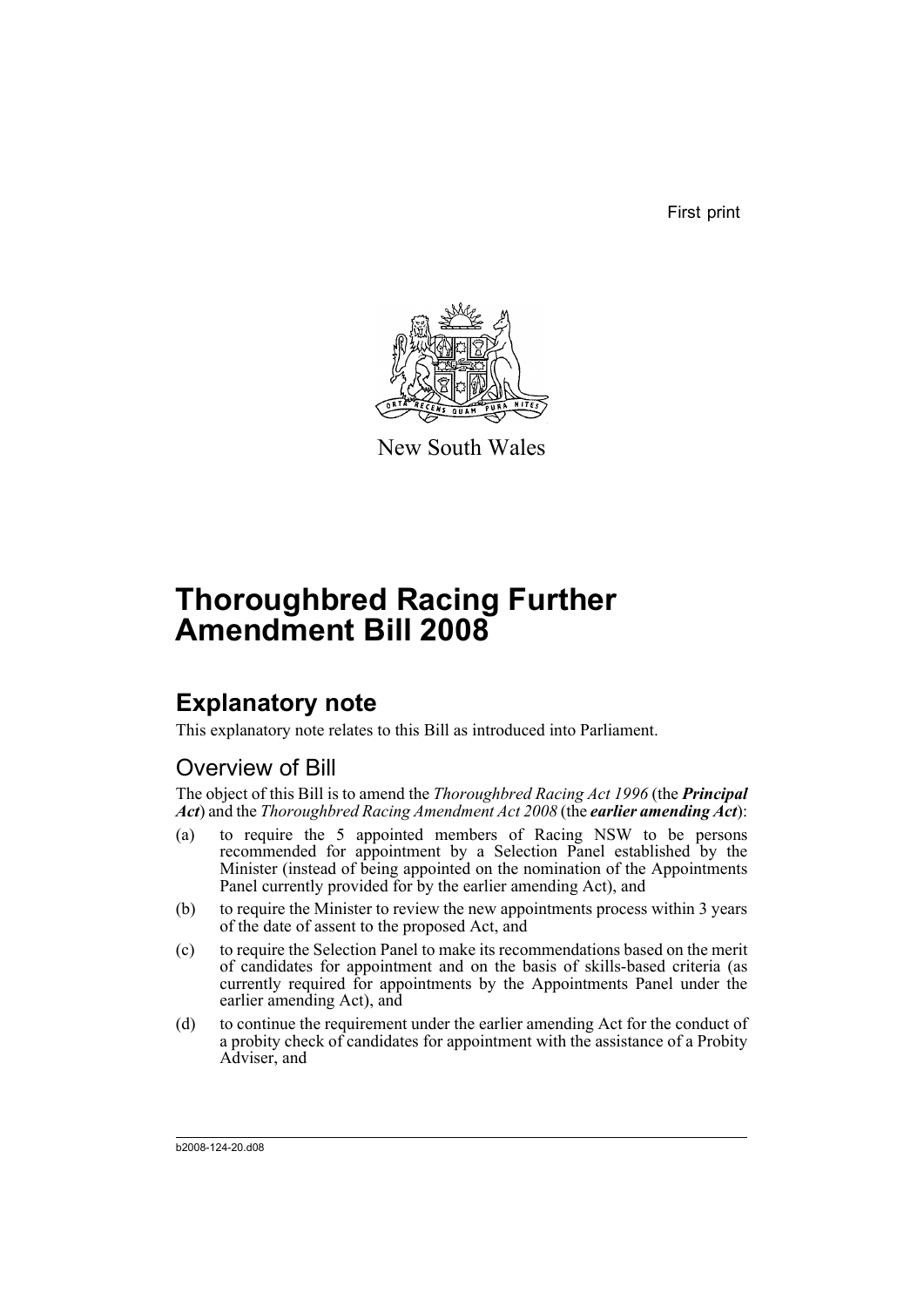First print



New South Wales

# **Thoroughbred Racing Further Amendment Bill 2008**

# **Explanatory note**

This explanatory note relates to this Bill as introduced into Parliament.

## Overview of Bill

The object of this Bill is to amend the *Thoroughbred Racing Act 1996* (the *Principal Act*) and the *Thoroughbred Racing Amendment Act 2008* (the *earlier amending Act*):

- (a) to require the 5 appointed members of Racing NSW to be persons recommended for appointment by a Selection Panel established by the Minister (instead of being appointed on the nomination of the Appointments Panel currently provided for by the earlier amending Act), and
- (b) to require the Minister to review the new appointments process within 3 years of the date of assent to the proposed Act, and
- (c) to require the Selection Panel to make its recommendations based on the merit of candidates for appointment and on the basis of skills-based criteria (as currently required for appointments by the Appointments Panel under the earlier amending Act), and
- (d) to continue the requirement under the earlier amending Act for the conduct of a probity check of candidates for appointment with the assistance of a Probity Adviser, and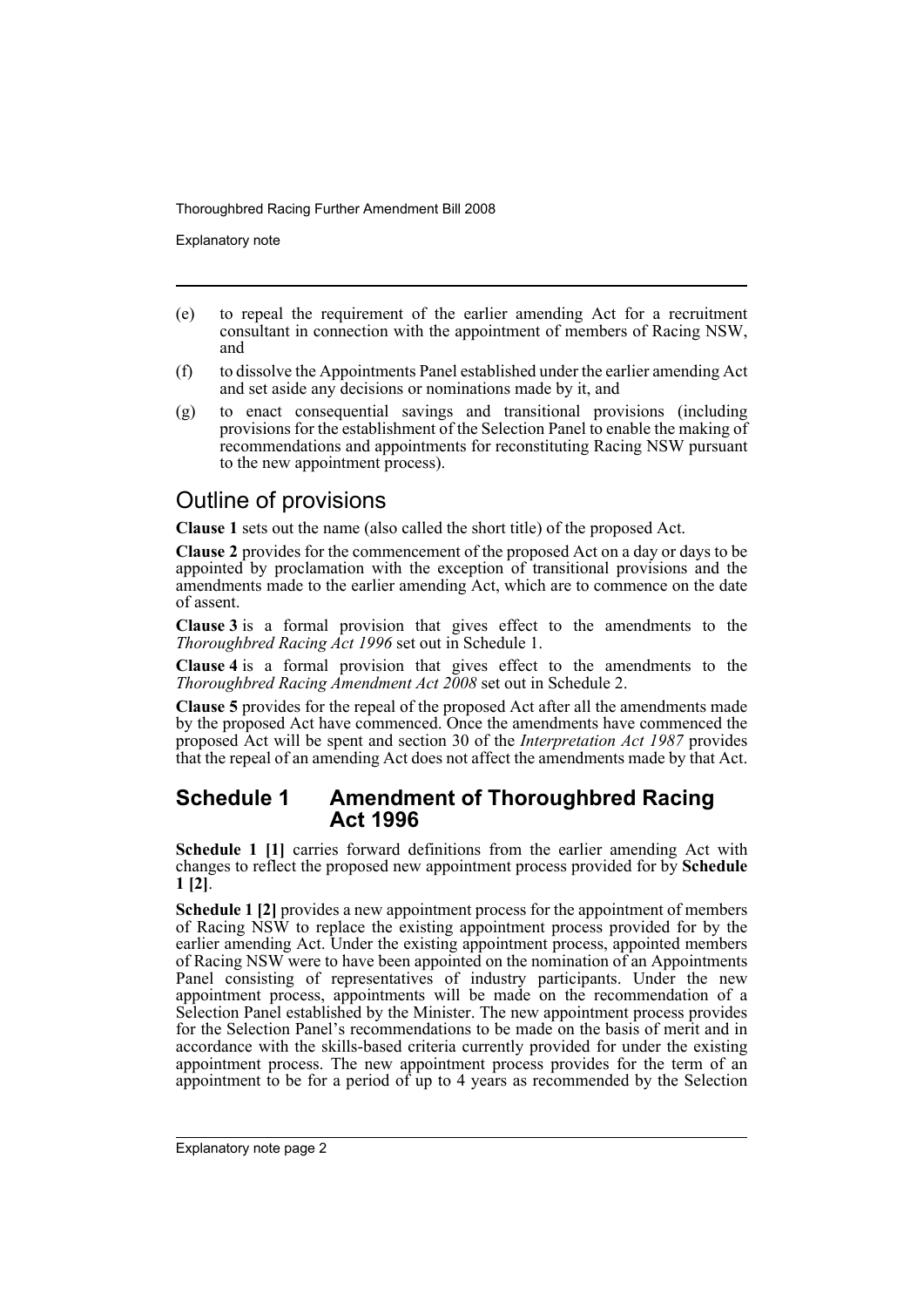Explanatory note

- (e) to repeal the requirement of the earlier amending Act for a recruitment consultant in connection with the appointment of members of Racing NSW, and
- (f) to dissolve the Appointments Panel established under the earlier amending Act and set aside any decisions or nominations made by it, and
- (g) to enact consequential savings and transitional provisions (including provisions for the establishment of the Selection Panel to enable the making of recommendations and appointments for reconstituting Racing NSW pursuant to the new appointment process).

## Outline of provisions

**Clause 1** sets out the name (also called the short title) of the proposed Act.

**Clause 2** provides for the commencement of the proposed Act on a day or days to be appointed by proclamation with the exception of transitional provisions and the amendments made to the earlier amending Act, which are to commence on the date of assent.

**Clause 3** is a formal provision that gives effect to the amendments to the *Thoroughbred Racing Act 1996* set out in Schedule 1.

**Clause 4** is a formal provision that gives effect to the amendments to the *Thoroughbred Racing Amendment Act 2008* set out in Schedule 2.

**Clause 5** provides for the repeal of the proposed Act after all the amendments made by the proposed Act have commenced. Once the amendments have commenced the proposed Act will be spent and section 30 of the *Interpretation Act 1987* provides that the repeal of an amending Act does not affect the amendments made by that Act.

## **Schedule 1 Amendment of Thoroughbred Racing Act 1996**

**Schedule 1 [1]** carries forward definitions from the earlier amending Act with changes to reflect the proposed new appointment process provided for by **Schedule 1 [2]**.

**Schedule 1 [2]** provides a new appointment process for the appointment of members of Racing NSW to replace the existing appointment process provided for by the earlier amending Act. Under the existing appointment process, appointed members of Racing NSW were to have been appointed on the nomination of an Appointments Panel consisting of representatives of industry participants. Under the new appointment process, appointments will be made on the recommendation of a Selection Panel established by the Minister. The new appointment process provides for the Selection Panel's recommendations to be made on the basis of merit and in accordance with the skills-based criteria currently provided for under the existing appointment process. The new appointment process provides for the term of an appointment to be for a period of  $\overline{u}$  to 4 years as recommended by the Selection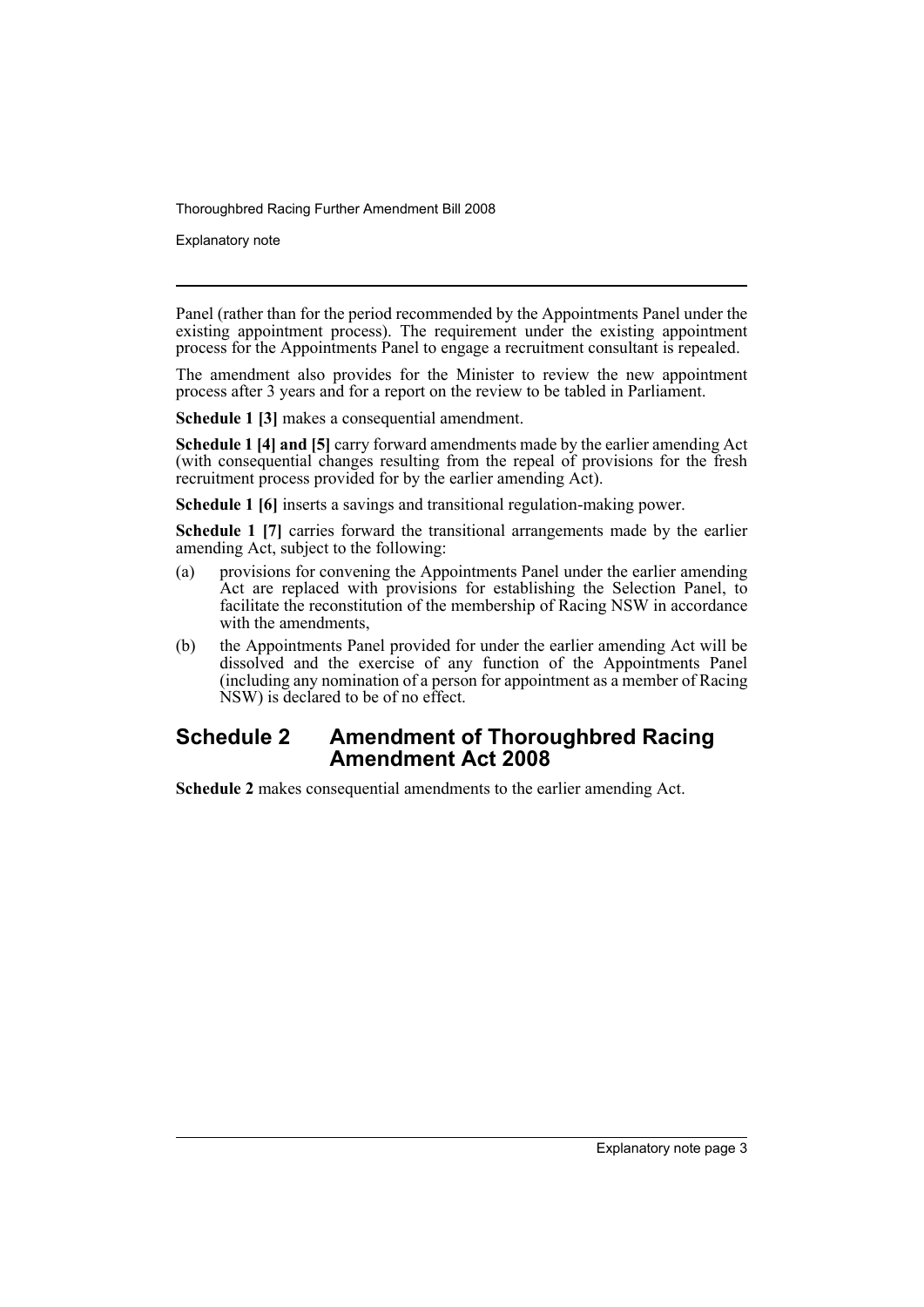Explanatory note

Panel (rather than for the period recommended by the Appointments Panel under the existing appointment process). The requirement under the existing appointment process for the Appointments Panel to engage a recruitment consultant is repealed.

The amendment also provides for the Minister to review the new appointment process after 3 years and for a report on the review to be tabled in Parliament.

**Schedule 1 [3]** makes a consequential amendment.

**Schedule 1 [4] and [5]** carry forward amendments made by the earlier amending Act (with consequential changes resulting from the repeal of provisions for the fresh recruitment process provided for by the earlier amending Act).

**Schedule 1 [6]** inserts a savings and transitional regulation-making power.

**Schedule 1 [7]** carries forward the transitional arrangements made by the earlier amending Act, subject to the following:

- (a) provisions for convening the Appointments Panel under the earlier amending Act are replaced with provisions for establishing the Selection Panel, to facilitate the reconstitution of the membership of Racing NSW in accordance with the amendments.
- (b) the Appointments Panel provided for under the earlier amending Act will be dissolved and the exercise of any function of the Appointments Panel (including any nomination of a person for appointment as a member of Racing NSW) is declared to be of no effect.

## **Schedule 2 Amendment of Thoroughbred Racing Amendment Act 2008**

**Schedule 2** makes consequential amendments to the earlier amending Act.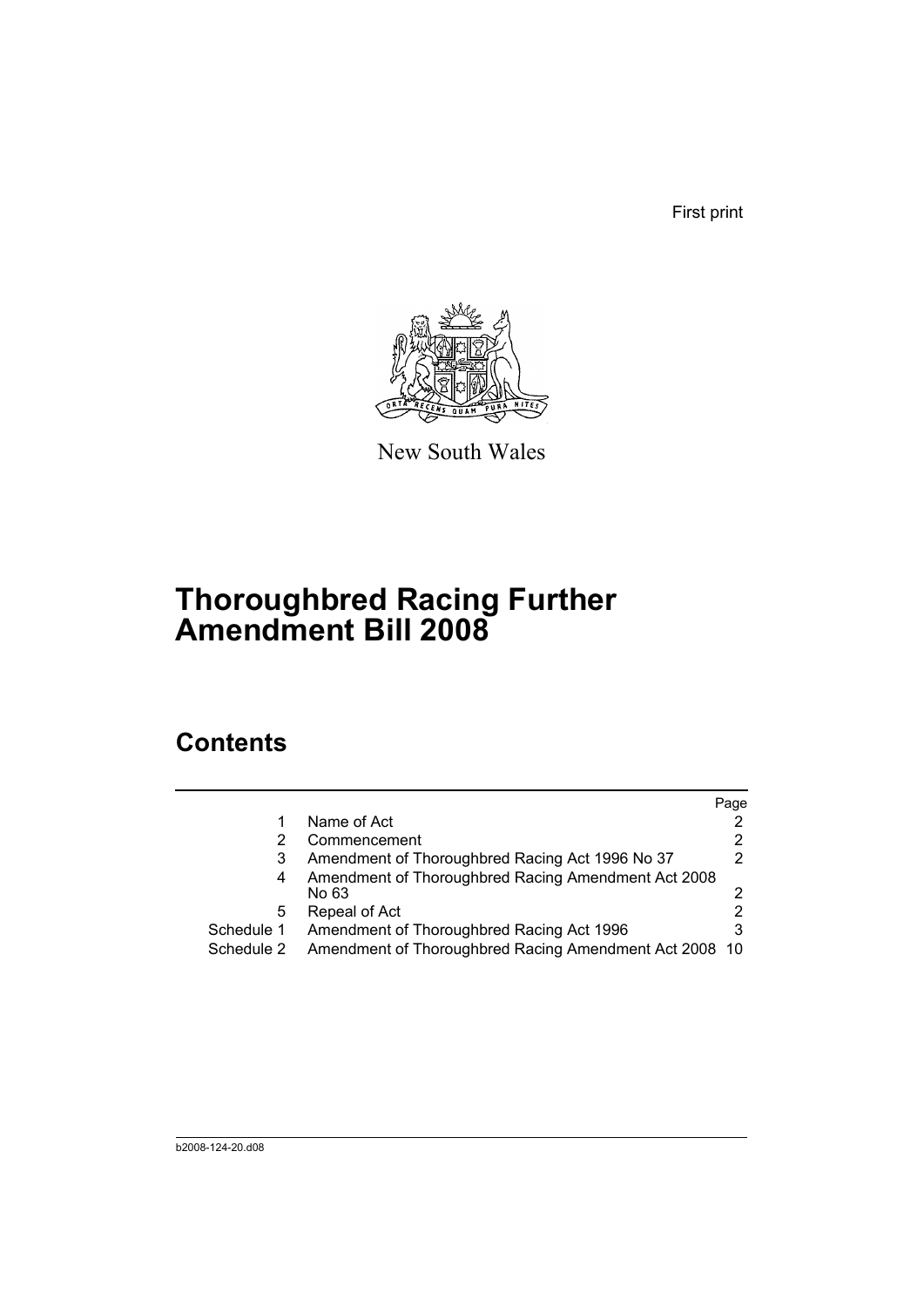First print



New South Wales

# **Thoroughbred Racing Further Amendment Bill 2008**

# **Contents**

|            |                                                        | Page |
|------------|--------------------------------------------------------|------|
|            | Name of Act                                            |      |
|            | Commencement                                           |      |
| 3          | Amendment of Thoroughbred Racing Act 1996 No 37        |      |
| 4          | Amendment of Thoroughbred Racing Amendment Act 2008    |      |
|            | No 63                                                  |      |
| 5          | Repeal of Act                                          |      |
| Schedule 1 | Amendment of Thoroughbred Racing Act 1996              |      |
| Schedule 2 | Amendment of Thoroughbred Racing Amendment Act 2008 10 |      |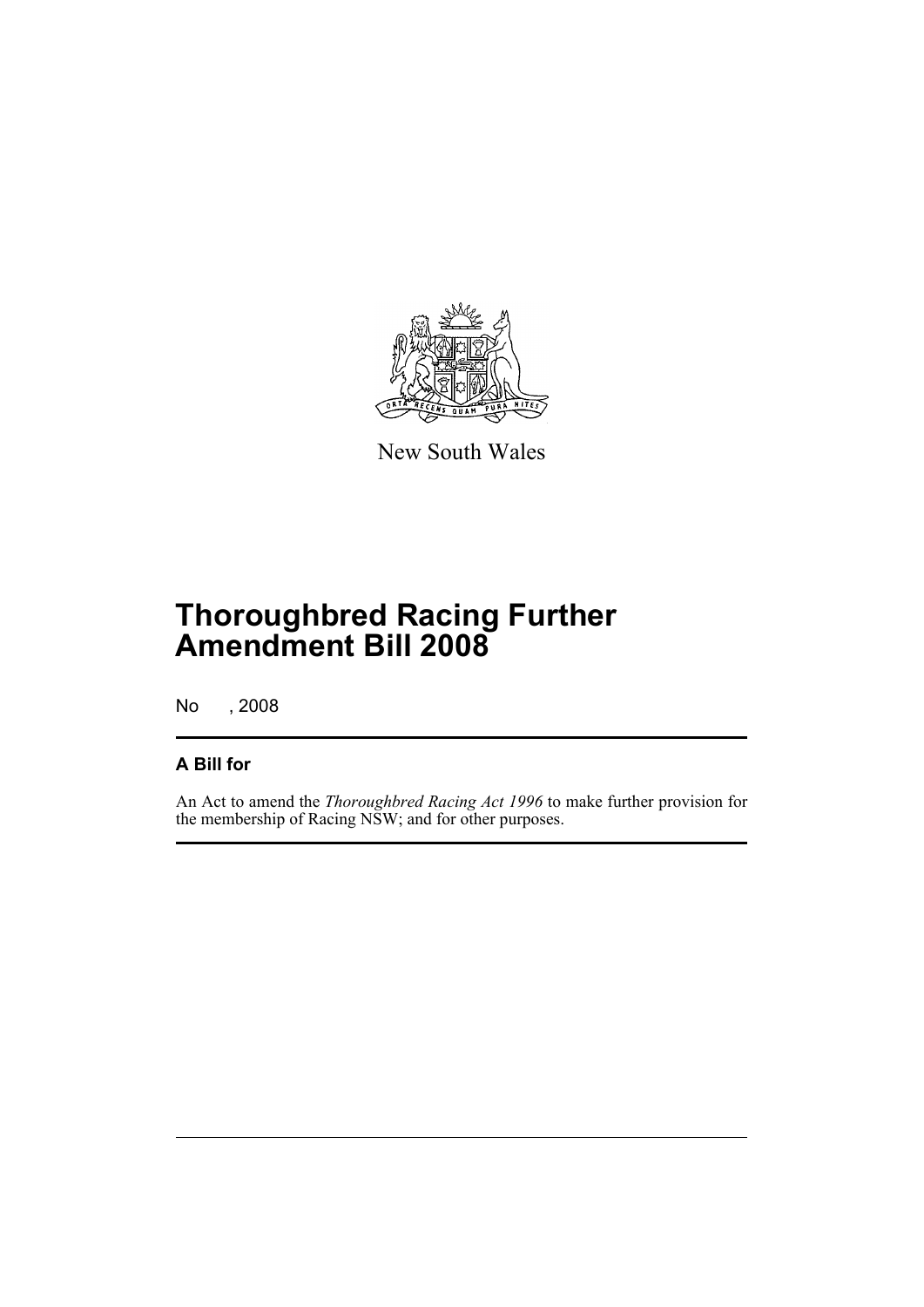

New South Wales

# **Thoroughbred Racing Further Amendment Bill 2008**

No , 2008

## **A Bill for**

An Act to amend the *Thoroughbred Racing Act 1996* to make further provision for the membership of Racing NSW; and for other purposes.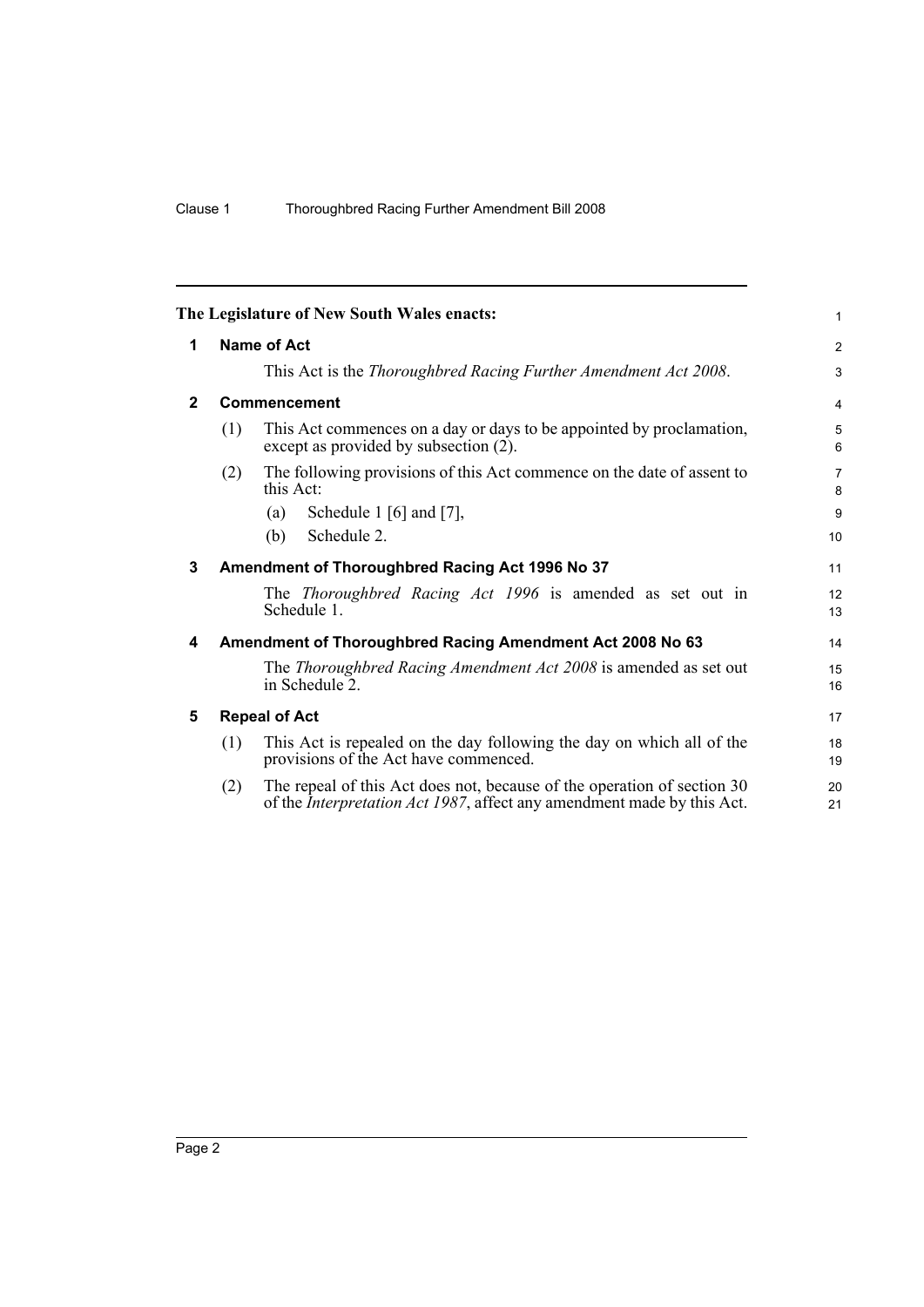<span id="page-7-4"></span><span id="page-7-3"></span><span id="page-7-2"></span><span id="page-7-1"></span><span id="page-7-0"></span>

|                |                    | The Legislature of New South Wales enacts:                                                                                                                | 1                   |
|----------------|--------------------|-----------------------------------------------------------------------------------------------------------------------------------------------------------|---------------------|
| 1              | <b>Name of Act</b> |                                                                                                                                                           |                     |
|                |                    | This Act is the Thoroughbred Racing Further Amendment Act 2008.                                                                                           | 3                   |
| $\overline{2}$ |                    | Commencement                                                                                                                                              | 4                   |
|                | (1)                | This Act commences on a day or days to be appointed by proclamation,<br>except as provided by subsection (2).                                             | 5<br>6              |
|                | (2)                | The following provisions of this Act commence on the date of assent to<br>this Act:                                                                       | $\overline{7}$<br>8 |
|                |                    | Schedule 1 [6] and [7],<br>(a)                                                                                                                            | 9                   |
|                |                    | Schedule 2.<br>(b)                                                                                                                                        | 10                  |
| 3              |                    | Amendment of Thoroughbred Racing Act 1996 No 37                                                                                                           | 11                  |
|                |                    | The <i>Thoroughbred Racing Act 1996</i> is amended as set out in<br>Schedule 1.                                                                           | 12<br>13            |
| 4              |                    | Amendment of Thoroughbred Racing Amendment Act 2008 No 63                                                                                                 | 14                  |
|                |                    | The <i>Thoroughbred Racing Amendment Act 2008</i> is amended as set out<br>in Schedule 2.                                                                 | 15<br>16            |
| 5              |                    | <b>Repeal of Act</b>                                                                                                                                      | 17                  |
|                | (1)                | This Act is repealed on the day following the day on which all of the<br>provisions of the Act have commenced.                                            | 18<br>19            |
|                | (2)                | The repeal of this Act does not, because of the operation of section 30<br>of the <i>Interpretation Act 1987</i> , affect any amendment made by this Act. | 20<br>21            |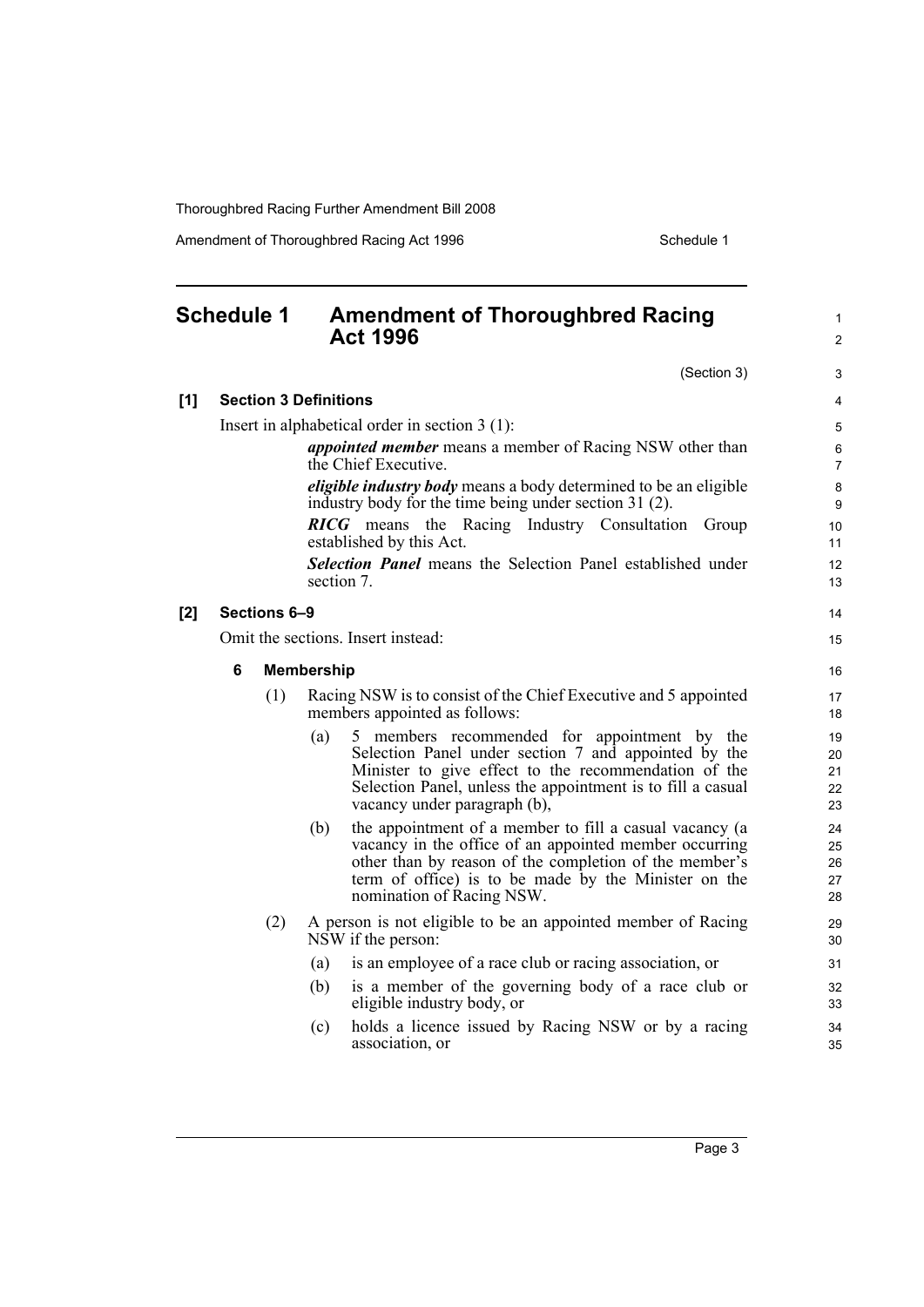Amendment of Thoroughbred Racing Act 1996 **Schedule 1** Schedule 1

## <span id="page-8-0"></span>**Schedule 1 Amendment of Thoroughbred Racing Act 1996**

1 2

|     |                 |                              |                   | (Section 3)                                                                                                                                                                                                                                                      | $\mathfrak{S}$             |
|-----|-----------------|------------------------------|-------------------|------------------------------------------------------------------------------------------------------------------------------------------------------------------------------------------------------------------------------------------------------------------|----------------------------|
| [1] |                 | <b>Section 3 Definitions</b> |                   |                                                                                                                                                                                                                                                                  | $\overline{4}$             |
|     |                 |                              |                   | Insert in alphabetical order in section $3(1)$ :                                                                                                                                                                                                                 | 5                          |
|     |                 |                              |                   | appointed member means a member of Racing NSW other than<br>the Chief Executive.                                                                                                                                                                                 | $\,6\,$<br>$\overline{7}$  |
|     |                 |                              |                   | <i>eligible industry body</i> means a body determined to be an eligible<br>industry body for the time being under section 31 (2).                                                                                                                                | $\bf 8$<br>9               |
|     |                 |                              |                   | <b>RICG</b> means the Racing Industry Consultation Group<br>established by this Act.                                                                                                                                                                             | 10<br>11                   |
|     |                 |                              |                   | <b>Selection Panel</b> means the Selection Panel established under<br>section 7.                                                                                                                                                                                 | 12<br>13                   |
| [2] |                 | Sections 6-9                 |                   |                                                                                                                                                                                                                                                                  | 14                         |
|     |                 |                              |                   | Omit the sections. Insert instead:                                                                                                                                                                                                                               | 15                         |
|     | $6\phantom{1}6$ |                              | <b>Membership</b> |                                                                                                                                                                                                                                                                  | 16                         |
|     |                 | (1)                          |                   | Racing NSW is to consist of the Chief Executive and 5 appointed<br>members appointed as follows:                                                                                                                                                                 | 17<br>18                   |
|     |                 |                              | (a)               | 5 members recommended for appointment by the<br>Selection Panel under section 7 and appointed by the<br>Minister to give effect to the recommendation of the<br>Selection Panel, unless the appointment is to fill a casual<br>vacancy under paragraph (b),      | 19<br>20<br>21<br>22<br>23 |
|     |                 |                              | (b)               | the appointment of a member to fill a casual vacancy (a<br>vacancy in the office of an appointed member occurring<br>other than by reason of the completion of the member's<br>term of office) is to be made by the Minister on the<br>nomination of Racing NSW. | 24<br>25<br>26<br>27<br>28 |
|     |                 | (2)                          |                   | A person is not eligible to be an appointed member of Racing<br>NSW if the person:                                                                                                                                                                               | 29<br>30                   |
|     |                 |                              | (a)               | is an employee of a race club or racing association, or                                                                                                                                                                                                          | 31                         |
|     |                 |                              | (b)               | is a member of the governing body of a race club or<br>eligible industry body, or                                                                                                                                                                                | 32<br>33                   |
|     |                 |                              | (c)               | holds a licence issued by Racing NSW or by a racing<br>association, or                                                                                                                                                                                           | 34<br>35                   |
|     |                 |                              |                   |                                                                                                                                                                                                                                                                  |                            |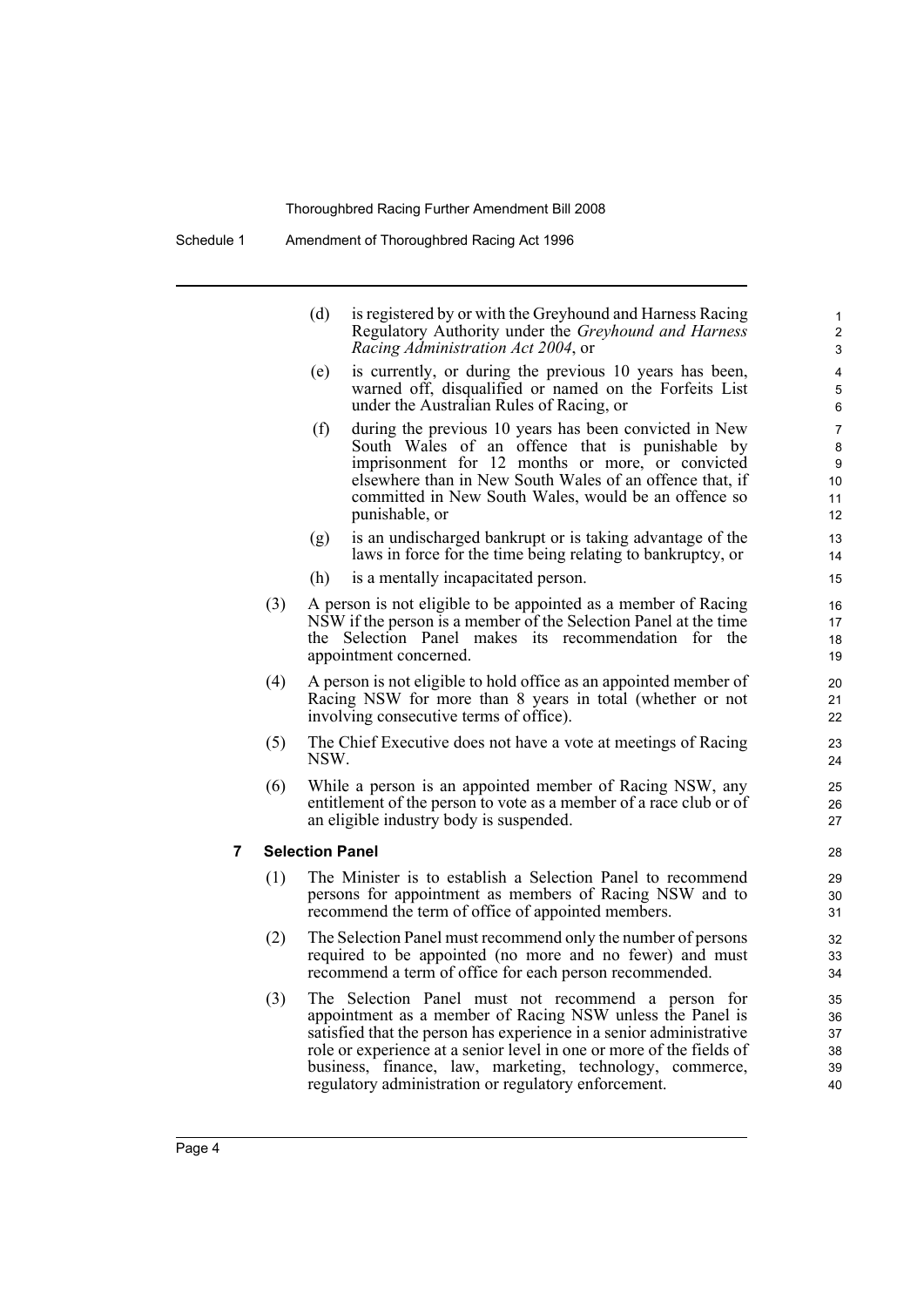Schedule 1 Amendment of Thoroughbred Racing Act 1996

|   |     | (d)                    | is registered by or with the Greyhound and Harness Racing<br>Regulatory Authority under the Greyhound and Harness<br><i>Racing Administration Act 2004, or</i>                                                                                                                                                                                                                      | 1<br>$\overline{\mathbf{c}}$<br>$\ensuremath{\mathsf{3}}$ |
|---|-----|------------------------|-------------------------------------------------------------------------------------------------------------------------------------------------------------------------------------------------------------------------------------------------------------------------------------------------------------------------------------------------------------------------------------|-----------------------------------------------------------|
|   |     | (e)                    | is currently, or during the previous 10 years has been,<br>warned off, disqualified or named on the Forfeits List<br>under the Australian Rules of Racing, or                                                                                                                                                                                                                       | 4<br>5<br>6                                               |
|   |     | (f)                    | during the previous 10 years has been convicted in New<br>South Wales of an offence that is punishable by<br>imprisonment for 12 months or more, or convicted<br>elsewhere than in New South Wales of an offence that, if<br>committed in New South Wales, would be an offence so<br>punishable, or                                                                                 | $\overline{7}$<br>8<br>9<br>10<br>11<br>12                |
|   |     | (g)                    | is an undischarged bankrupt or is taking advantage of the<br>laws in force for the time being relating to bankruptcy, or                                                                                                                                                                                                                                                            | 13<br>14                                                  |
|   |     | (h)                    | is a mentally incapacitated person.                                                                                                                                                                                                                                                                                                                                                 | 15                                                        |
|   | (3) | the                    | A person is not eligible to be appointed as a member of Racing<br>NSW if the person is a member of the Selection Panel at the time<br>Selection Panel makes its recommendation for the<br>appointment concerned.                                                                                                                                                                    | 16<br>17<br>18<br>19                                      |
|   | (4) |                        | A person is not eligible to hold office as an appointed member of<br>Racing NSW for more than 8 years in total (whether or not<br>involving consecutive terms of office).                                                                                                                                                                                                           | 20<br>21<br>22                                            |
|   | (5) | NSW.                   | The Chief Executive does not have a vote at meetings of Racing                                                                                                                                                                                                                                                                                                                      | 23<br>24                                                  |
|   | (6) |                        | While a person is an appointed member of Racing NSW, any<br>entitlement of the person to vote as a member of a race club or of<br>an eligible industry body is suspended.                                                                                                                                                                                                           | 25<br>26<br>27                                            |
| 7 |     | <b>Selection Panel</b> |                                                                                                                                                                                                                                                                                                                                                                                     | 28                                                        |
|   | (1) |                        | The Minister is to establish a Selection Panel to recommend<br>persons for appointment as members of Racing NSW and to<br>recommend the term of office of appointed members.                                                                                                                                                                                                        | 29<br>30<br>31                                            |
|   | (2) |                        | The Selection Panel must recommend only the number of persons<br>required to be appointed (no more and no fewer) and must<br>recommend a term of office for each person recommended.                                                                                                                                                                                                | 32<br>33<br>34                                            |
|   | (3) |                        | The Selection Panel must not recommend a person for<br>appointment as a member of Racing NSW unless the Panel is<br>satisfied that the person has experience in a senior administrative<br>role or experience at a senior level in one or more of the fields of<br>business, finance, law, marketing, technology, commerce,<br>regulatory administration or regulatory enforcement. | 35<br>36<br>37<br>38<br>39<br>40                          |
|   |     |                        |                                                                                                                                                                                                                                                                                                                                                                                     |                                                           |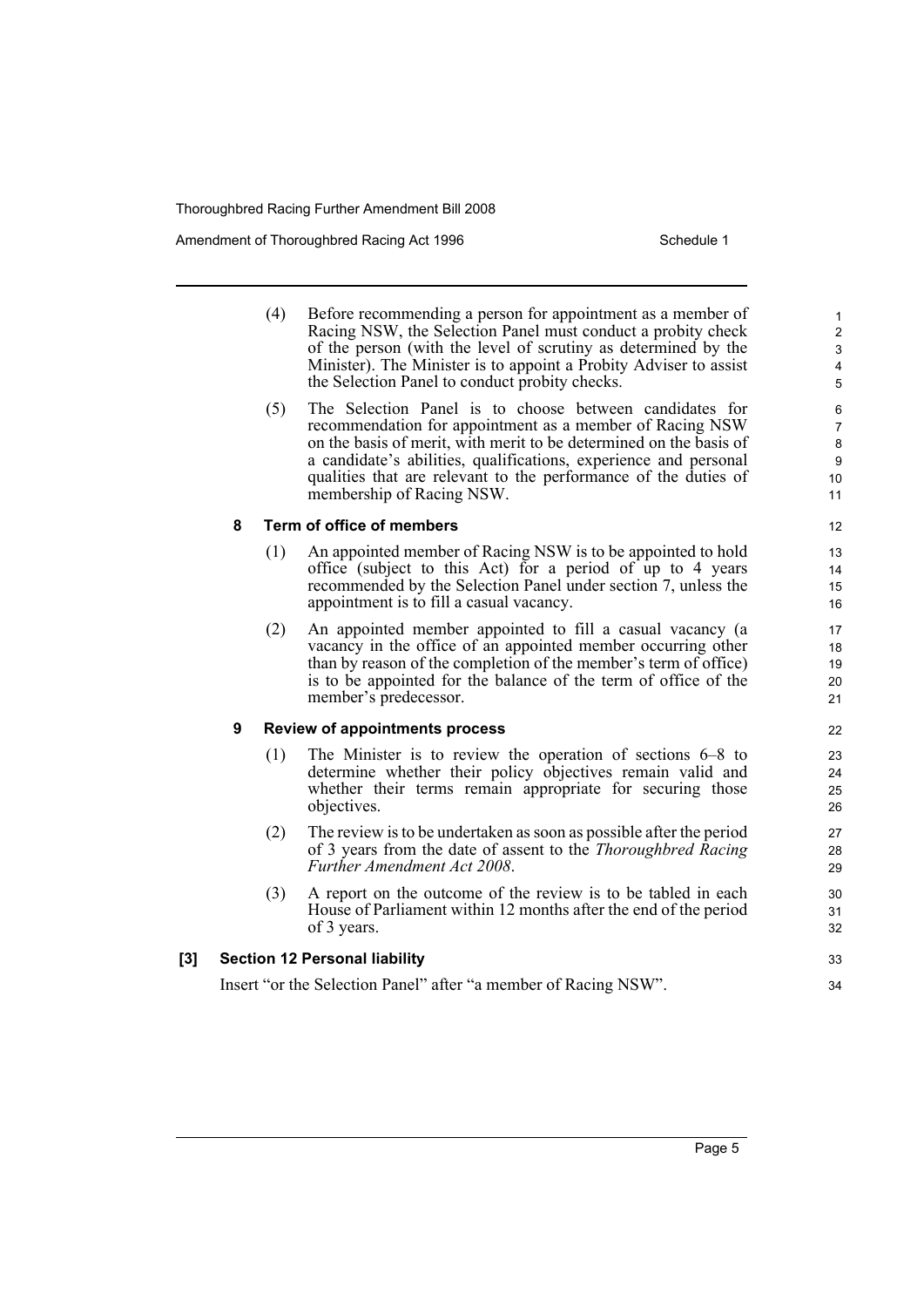Amendment of Thoroughbred Racing Act 1996 Schedule 1

|   | (4)                       | Before recommending a person for appointment as a member of<br>Racing NSW, the Selection Panel must conduct a probity check<br>of the person (with the level of scrutiny as determined by the<br>Minister). The Minister is to appoint a Probity Adviser to assist<br>the Selection Panel to conduct probity checks.                                          |  |  |
|---|---------------------------|---------------------------------------------------------------------------------------------------------------------------------------------------------------------------------------------------------------------------------------------------------------------------------------------------------------------------------------------------------------|--|--|
|   | (5)                       | The Selection Panel is to choose between candidates for<br>recommendation for appointment as a member of Racing NSW<br>on the basis of merit, with merit to be determined on the basis of<br>a candidate's abilities, qualifications, experience and personal<br>qualities that are relevant to the performance of the duties of<br>membership of Racing NSW. |  |  |
| 8 | Term of office of members |                                                                                                                                                                                                                                                                                                                                                               |  |  |
|   | (1)                       | An appointed member of Racing NSW is to be appointed to hold<br>office (subject to this Act) for a period of up to 4 years<br>recommended by the Selection Panel under section 7, unless the<br>appointment is to fill a casual vacancy.                                                                                                                      |  |  |
|   | (2)                       | An appointed member appointed to fill a casual vacancy (a<br>vacancy in the office of an appointed member occurring other                                                                                                                                                                                                                                     |  |  |

### **9 Review of appointments process**

member's predecessor.

(1) The Minister is to review the operation of sections 6–8 to determine whether their policy objectives remain valid and whether their terms remain appropriate for securing those objectives.

than by reason of the completion of the member's term of office) is to be appointed for the balance of the term of office of the

- (2) The review is to be undertaken as soon as possible after the period of 3 years from the date of assent to the *Thoroughbred Racing Further Amendment Act 2008*.
- (3) A report on the outcome of the review is to be tabled in each House of Parliament within 12 months after the end of the period of 3 years.

### **[3] Section 12 Personal liability**

Insert "or the Selection Panel" after "a member of Racing NSW".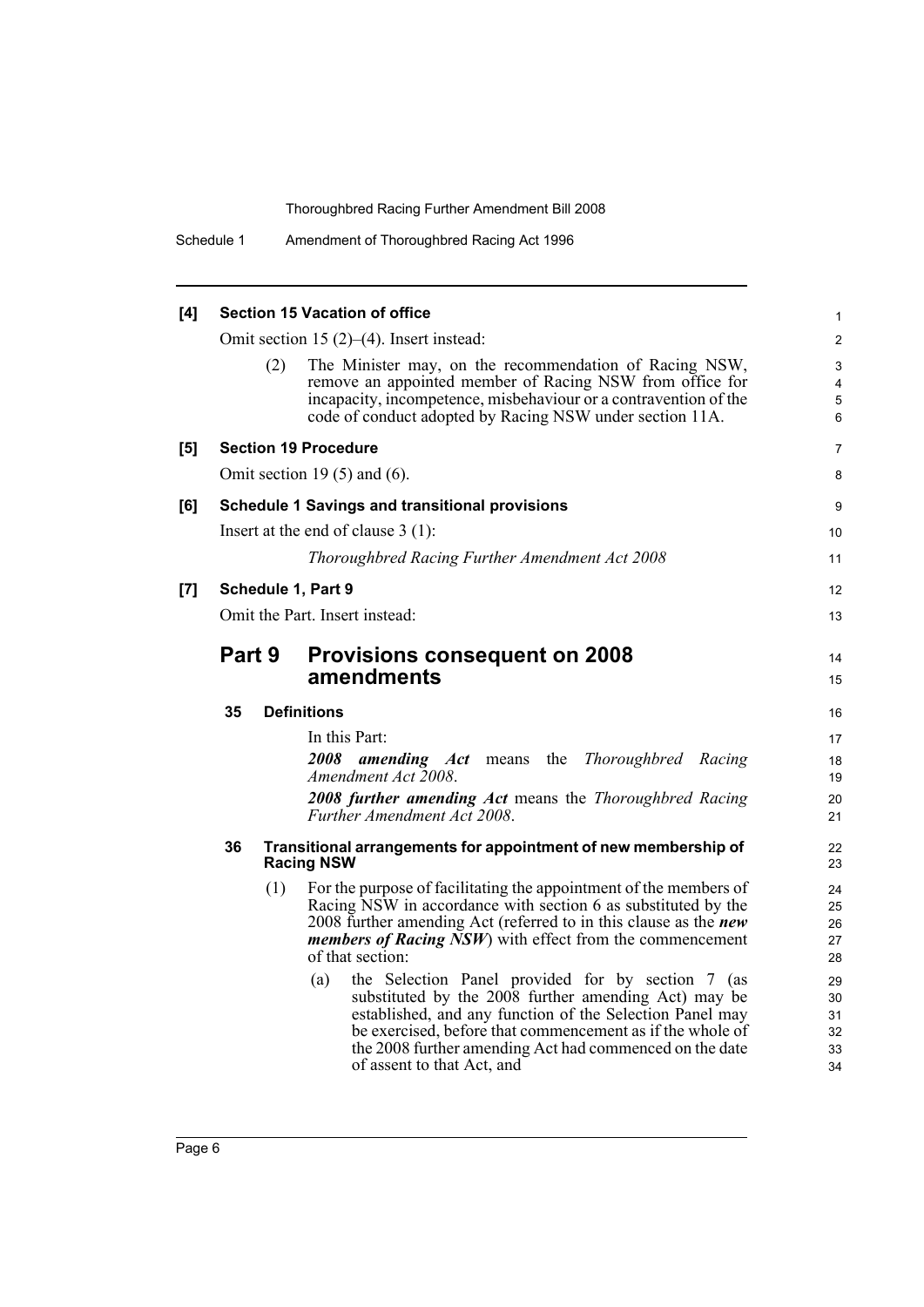| [4] |                                                 |     | <b>Section 15 Vacation of office</b>                                                                                                                                                                                                                                                                                                                                                                                                                                                                                                                                                                                                        | $\mathbf{1}$                                                   |  |
|-----|-------------------------------------------------|-----|---------------------------------------------------------------------------------------------------------------------------------------------------------------------------------------------------------------------------------------------------------------------------------------------------------------------------------------------------------------------------------------------------------------------------------------------------------------------------------------------------------------------------------------------------------------------------------------------------------------------------------------------|----------------------------------------------------------------|--|
|     | Omit section 15 $(2)$ – $(4)$ . Insert instead: |     |                                                                                                                                                                                                                                                                                                                                                                                                                                                                                                                                                                                                                                             |                                                                |  |
|     |                                                 | (2) | The Minister may, on the recommendation of Racing NSW,                                                                                                                                                                                                                                                                                                                                                                                                                                                                                                                                                                                      | 3                                                              |  |
|     |                                                 |     | remove an appointed member of Racing NSW from office for<br>incapacity, incompetence, misbehaviour or a contravention of the                                                                                                                                                                                                                                                                                                                                                                                                                                                                                                                | 4<br>5                                                         |  |
|     |                                                 |     | code of conduct adopted by Racing NSW under section 11A.                                                                                                                                                                                                                                                                                                                                                                                                                                                                                                                                                                                    | 6                                                              |  |
| [5] |                                                 |     | <b>Section 19 Procedure</b>                                                                                                                                                                                                                                                                                                                                                                                                                                                                                                                                                                                                                 | $\overline{7}$                                                 |  |
|     |                                                 |     | Omit section 19 $(5)$ and $(6)$ .                                                                                                                                                                                                                                                                                                                                                                                                                                                                                                                                                                                                           | 8                                                              |  |
| [6] |                                                 |     | <b>Schedule 1 Savings and transitional provisions</b>                                                                                                                                                                                                                                                                                                                                                                                                                                                                                                                                                                                       | 9                                                              |  |
|     |                                                 |     | Insert at the end of clause $3(1)$ :                                                                                                                                                                                                                                                                                                                                                                                                                                                                                                                                                                                                        | 10                                                             |  |
|     |                                                 |     | Thoroughbred Racing Further Amendment Act 2008                                                                                                                                                                                                                                                                                                                                                                                                                                                                                                                                                                                              | 11                                                             |  |
| [7] | Schedule 1, Part 9                              |     |                                                                                                                                                                                                                                                                                                                                                                                                                                                                                                                                                                                                                                             |                                                                |  |
|     | Omit the Part. Insert instead:                  |     |                                                                                                                                                                                                                                                                                                                                                                                                                                                                                                                                                                                                                                             |                                                                |  |
|     | Part 9                                          |     | <b>Provisions consequent on 2008</b>                                                                                                                                                                                                                                                                                                                                                                                                                                                                                                                                                                                                        | 14                                                             |  |
|     |                                                 |     | amendments                                                                                                                                                                                                                                                                                                                                                                                                                                                                                                                                                                                                                                  | 15                                                             |  |
|     | 35                                              |     | <b>Definitions</b>                                                                                                                                                                                                                                                                                                                                                                                                                                                                                                                                                                                                                          | 16                                                             |  |
|     |                                                 |     | In this Part:                                                                                                                                                                                                                                                                                                                                                                                                                                                                                                                                                                                                                               | 17                                                             |  |
|     |                                                 |     | 2008 amending Act means the Thoroughbred Racing<br>Amendment Act 2008.                                                                                                                                                                                                                                                                                                                                                                                                                                                                                                                                                                      | 18<br>19                                                       |  |
|     |                                                 |     | 2008 further amending Act means the Thoroughbred Racing<br><b>Further Amendment Act 2008.</b>                                                                                                                                                                                                                                                                                                                                                                                                                                                                                                                                               | 20<br>21                                                       |  |
|     | 36                                              |     | Transitional arrangements for appointment of new membership of<br><b>Racing NSW</b>                                                                                                                                                                                                                                                                                                                                                                                                                                                                                                                                                         | 22<br>23                                                       |  |
|     |                                                 | (1) | For the purpose of facilitating the appointment of the members of<br>Racing NSW in accordance with section 6 as substituted by the<br>2008 further amending Act (referred to in this clause as the <i>new</i><br><i>members of Racing NSW</i> ) with effect from the commencement<br>of that section:<br>the Selection Panel provided for by section 7 (as<br>(a)<br>substituted by the 2008 further amending Act) may be<br>established, and any function of the Selection Panel may<br>be exercised, before that commencement as if the whole of<br>the 2008 further amending Act had commenced on the date<br>of assent to that Act, and | 24<br>25<br>26<br>27<br>28<br>29<br>30<br>31<br>32<br>33<br>34 |  |
|     |                                                 |     |                                                                                                                                                                                                                                                                                                                                                                                                                                                                                                                                                                                                                                             |                                                                |  |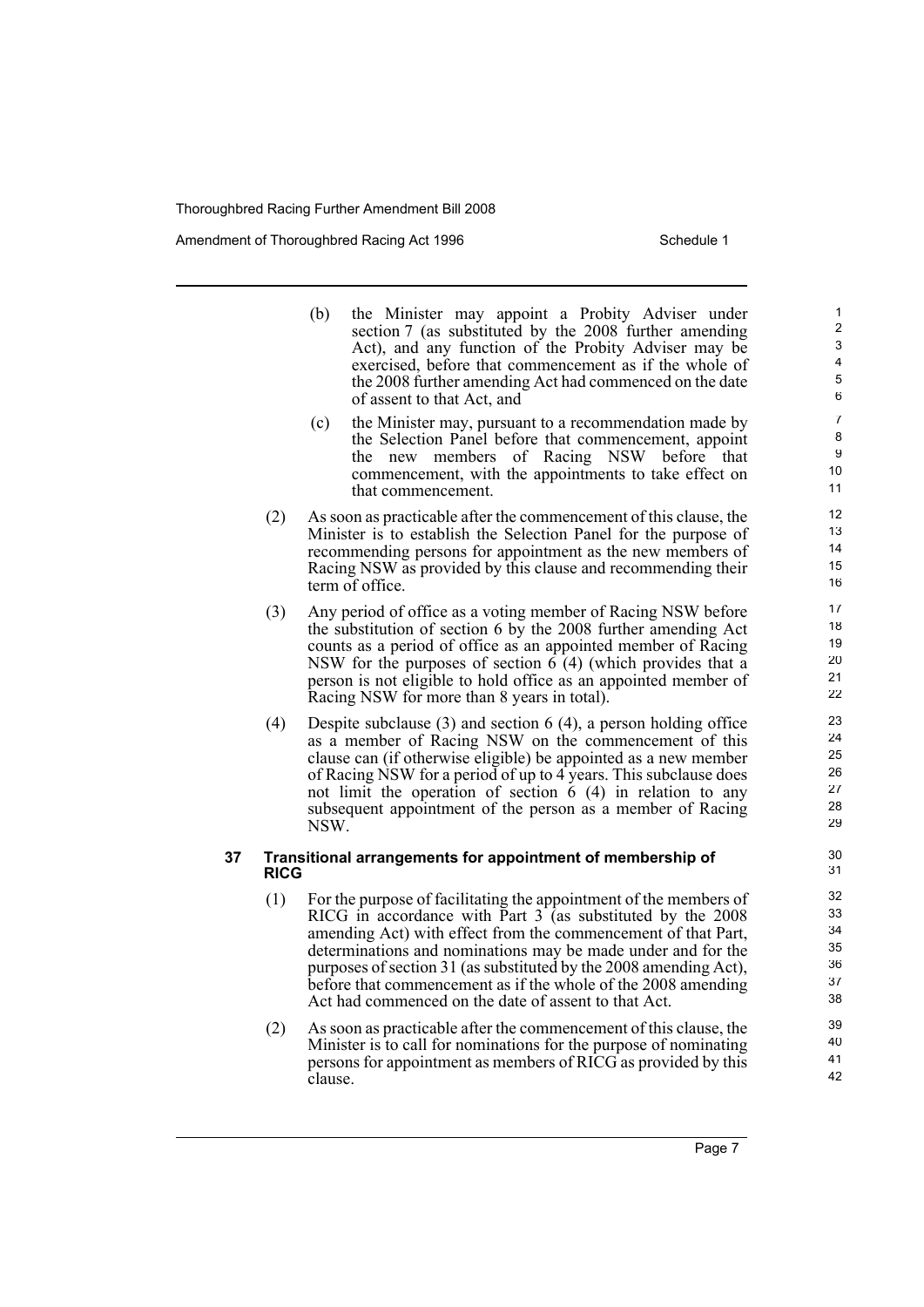Amendment of Thoroughbred Racing Act 1996 Schedule 1

- (b) the Minister may appoint a Probity Adviser under section 7 (as substituted by the 2008 further amending Act), and any function of the Probity Adviser may be exercised, before that commencement as if the whole of the 2008 further amending Act had commenced on the date of assent to that Act, and
- (c) the Minister may, pursuant to a recommendation made by the Selection Panel before that commencement, appoint the new members of Racing NSW before that commencement, with the appointments to take effect on that commencement.
- (2) As soon as practicable after the commencement of this clause, the Minister is to establish the Selection Panel for the purpose of recommending persons for appointment as the new members of Racing NSW as provided by this clause and recommending their term of office.
- (3) Any period of office as a voting member of Racing NSW before the substitution of section 6 by the 2008 further amending Act counts as a period of office as an appointed member of Racing NSW for the purposes of section  $6(4)$  (which provides that a person is not eligible to hold office as an appointed member of Racing NSW for more than 8 years in total).
- (4) Despite subclause (3) and section 6 (4), a person holding office as a member of Racing NSW on the commencement of this clause can (if otherwise eligible) be appointed as a new member of Racing NSW for a period of up to 4 years. This subclause does not limit the operation of section  $\dot{6}$  (4) in relation to any subsequent appointment of the person as a member of Racing NSW.

### **37 Transitional arrangements for appointment of membership of RICG**

- (1) For the purpose of facilitating the appointment of the members of RICG in accordance with Part  $3$  (as substituted by the 2008 amending Act) with effect from the commencement of that Part, determinations and nominations may be made under and for the purposes of section 31 (as substituted by the 2008 amending Act), before that commencement as if the whole of the 2008 amending Act had commenced on the date of assent to that Act.
- (2) As soon as practicable after the commencement of this clause, the Minister is to call for nominations for the purpose of nominating persons for appointment as members of RICG as provided by this clause.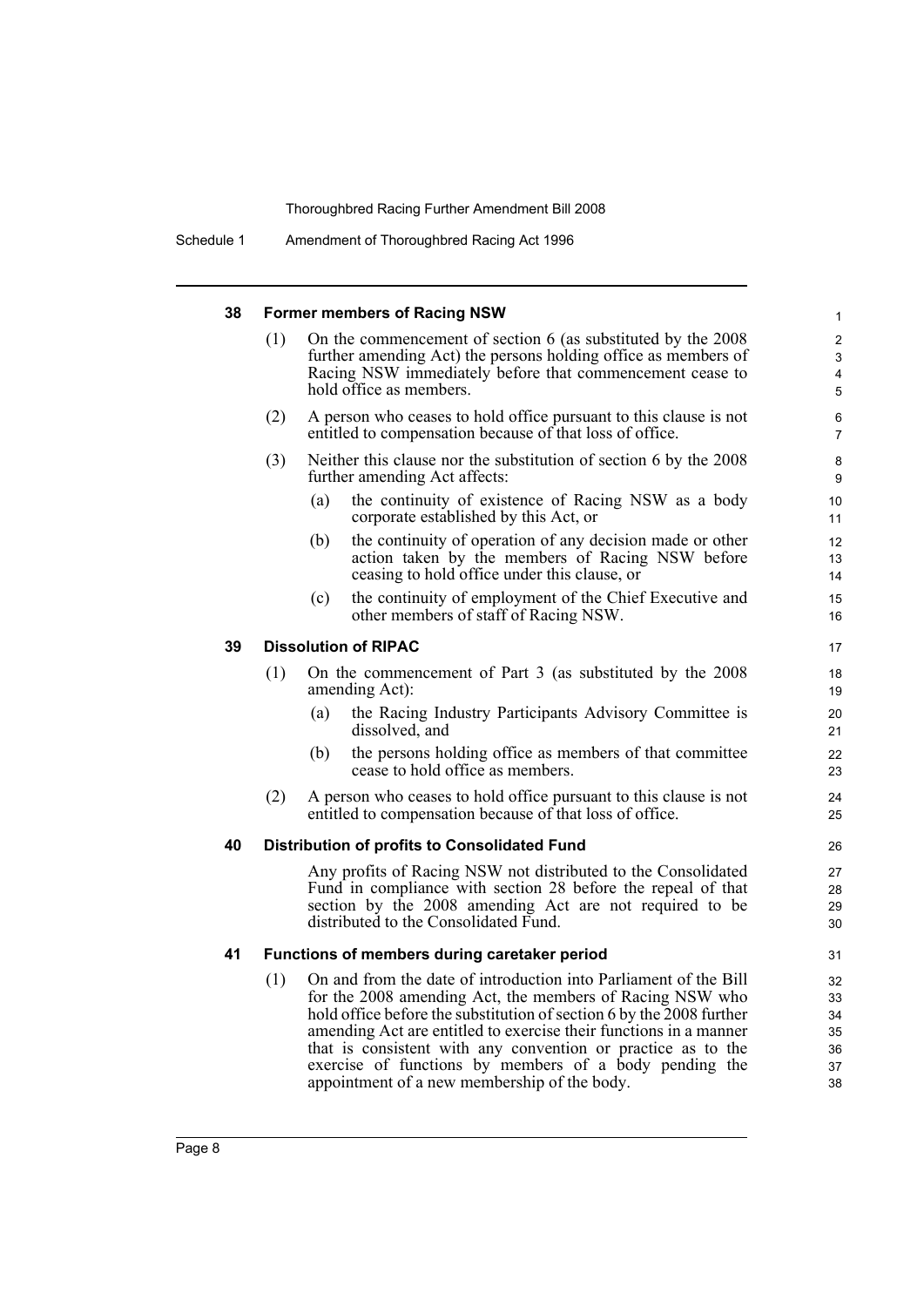Schedule 1 Amendment of Thoroughbred Racing Act 1996

#### **38 Former members of Racing NSW**

(1) On the commencement of section 6 (as substituted by the 2008 further amending Act) the persons holding office as members of Racing NSW immediately before that commencement cease to hold office as members.

- (2) A person who ceases to hold office pursuant to this clause is not entitled to compensation because of that loss of office.
- (3) Neither this clause nor the substitution of section 6 by the 2008 further amending Act affects:
	- (a) the continuity of existence of Racing NSW as a body corporate established by this Act, or
	- (b) the continuity of operation of any decision made or other action taken by the members of Racing NSW before ceasing to hold office under this clause, or
	- (c) the continuity of employment of the Chief Executive and other members of staff of Racing NSW.

### **39 Dissolution of RIPAC**

- (1) On the commencement of Part 3 (as substituted by the 2008 amending Act):
	- (a) the Racing Industry Participants Advisory Committee is dissolved, and
	- (b) the persons holding office as members of that committee cease to hold office as members.
- (2) A person who ceases to hold office pursuant to this clause is not entitled to compensation because of that loss of office.

#### **40 Distribution of profits to Consolidated Fund**

Any profits of Racing NSW not distributed to the Consolidated Fund in compliance with section 28 before the repeal of that section by the 2008 amending Act are not required to be distributed to the Consolidated Fund.

### **41 Functions of members during caretaker period**

(1) On and from the date of introduction into Parliament of the Bill for the 2008 amending Act, the members of Racing NSW who hold office before the substitution of section 6 by the 2008 further amending Act are entitled to exercise their functions in a manner that is consistent with any convention or practice as to the exercise of functions by members of a body pending the appointment of a new membership of the body.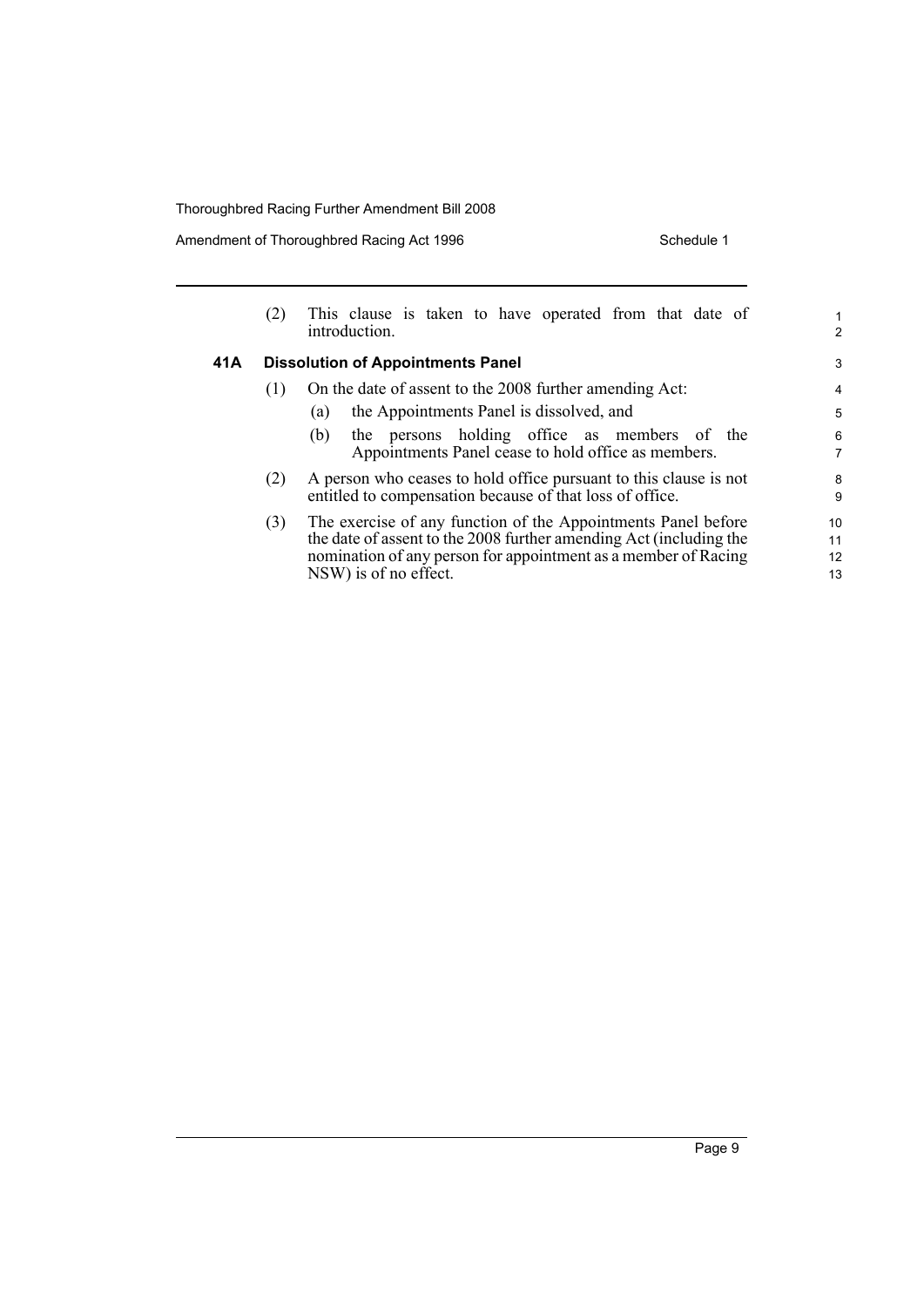Amendment of Thoroughbred Racing Act 1996 Schedule 1

|      | (2) | This clause is taken to have operated from that date of<br>introduction.                                                                                                                                                       | 1<br>2               |
|------|-----|--------------------------------------------------------------------------------------------------------------------------------------------------------------------------------------------------------------------------------|----------------------|
| 41 A |     | <b>Dissolution of Appointments Panel</b>                                                                                                                                                                                       | 3                    |
|      | (1) | On the date of assent to the 2008 further amending Act:                                                                                                                                                                        | 4                    |
|      |     | the Appointments Panel is dissolved, and<br>(a)                                                                                                                                                                                | 5                    |
|      |     | persons holding office as members of the<br>(b)<br>the<br>Appointments Panel cease to hold office as members.                                                                                                                  | 6<br>7               |
|      | (2) | A person who ceases to hold office pursuant to this clause is not<br>entitled to compensation because of that loss of office.                                                                                                  | 8<br>9               |
|      | (3) | The exercise of any function of the Appointments Panel before<br>the date of assent to the 2008 further amending Act (including the<br>nomination of any person for appointment as a member of Racing<br>NSW) is of no effect. | 10<br>11<br>12<br>13 |